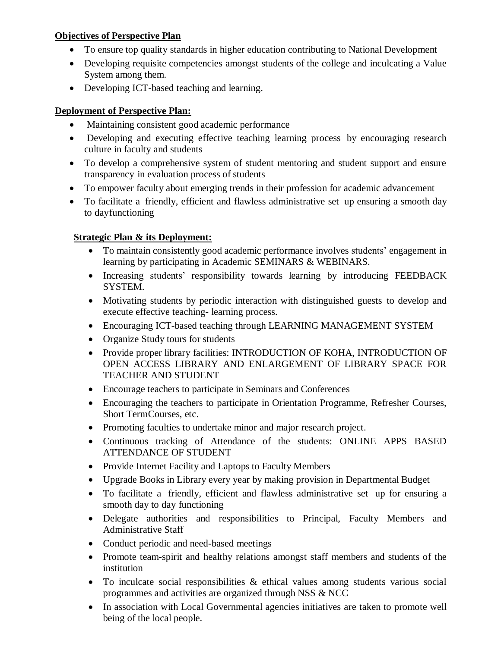## **Objectives of Perspective Plan**

- To ensure top quality standards in higher education contributing to National Development
- Developing requisite competencies amongst students of the college and inculcating a Value System among them.
- Developing ICT-based teaching and learning.

## **Deployment of Perspective Plan:**

- Maintaining consistent good academic performance
- Developing and executing effective teaching learning process by encouraging research culture in faculty and students
- To develop a comprehensive system of student mentoring and student support and ensure transparency in evaluation process of students
- To empower faculty about emerging trends in their profession for academic advancement
- To facilitate a friendly, efficient and flawless administrative set up ensuring a smooth day to dayfunctioning

## **Strategic Plan & its Deployment:**

- To maintain consistently good academic performance involves students' engagement in learning by participating in Academic SEMINARS & WEBINARS.
- Increasing students' responsibility towards learning by introducing FEEDBACK SYSTEM.
- Motivating students by periodic interaction with distinguished guests to develop and execute effective teaching- learning process.
- Encouraging ICT-based teaching through LEARNING MANAGEMENT SYSTEM
- Organize Study tours for students
- Provide proper library facilities: INTRODUCTION OF KOHA, INTRODUCTION OF OPEN ACCESS LIBRARY AND ENLARGEMENT OF LIBRARY SPACE FOR TEACHER AND STUDENT
- Encourage teachers to participate in Seminars and Conferences
- Encouraging the teachers to participate in Orientation Programme, Refresher Courses, Short TermCourses, etc.
- Promoting faculties to undertake minor and major research project.
- Continuous tracking of Attendance of the students: ONLINE APPS BASED ATTENDANCE OF STUDENT
- Provide Internet Facility and Laptops to Faculty Members
- Upgrade Books in Library every year by making provision in Departmental Budget
- To facilitate a friendly, efficient and flawless administrative set up for ensuring a smooth day to day functioning
- Delegate authorities and responsibilities to Principal, Faculty Members and Administrative Staff
- Conduct periodic and need-based meetings
- Promote team-spirit and healthy relations amongst staff members and students of the institution
- To inculcate social responsibilities & ethical values among students various social programmes and activities are organized through NSS & NCC
- In association with Local Governmental agencies initiatives are taken to promote well being of the local people.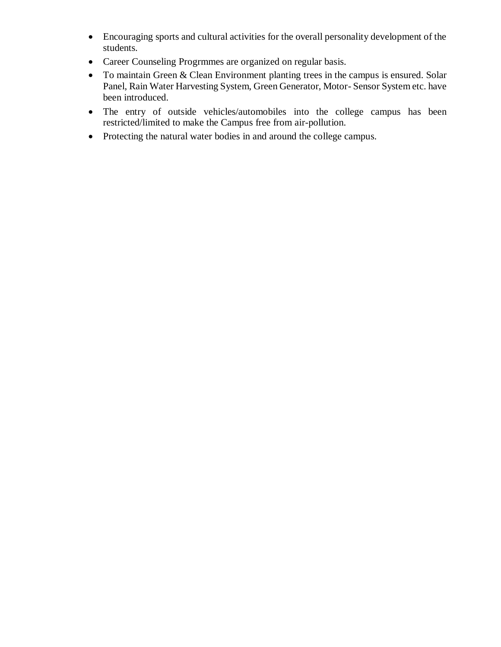- Encouraging sports and cultural activities for the overall personality development of the students.
- Career Counseling Progrmmes are organized on regular basis.
- To maintain Green & Clean Environment planting trees in the campus is ensured. Solar Panel, Rain Water Harvesting System, Green Generator, Motor- Sensor System etc. have been introduced.
- The entry of outside vehicles/automobiles into the college campus has been restricted/limited to make the Campus free from air-pollution.
- Protecting the natural water bodies in and around the college campus.